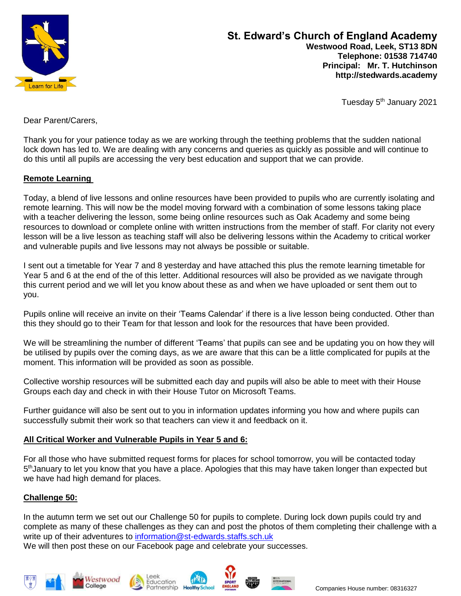

# **St. Edward's Church of England Academy Westwood Road, Leek, ST13 8DN Telephone: 01538 714740 Principal: Mr. T. Hutchinson http://stedwards.academy**

Tuesday 5<sup>th</sup> January 2021

Dear Parent/Carers,

Thank you for your patience today as we are working through the teething problems that the sudden national lock down has led to. We are dealing with any concerns and queries as quickly as possible and will continue to do this until all pupils are accessing the very best education and support that we can provide.

#### **Remote Learning**

Today, a blend of live lessons and online resources have been provided to pupils who are currently isolating and remote learning. This will now be the model moving forward with a combination of some lessons taking place with a teacher delivering the lesson, some being online resources such as Oak Academy and some being resources to download or complete online with written instructions from the member of staff. For clarity not every lesson will be a live lesson as teaching staff will also be delivering lessons within the Academy to critical worker and vulnerable pupils and live lessons may not always be possible or suitable.

I sent out a timetable for Year 7 and 8 yesterday and have attached this plus the remote learning timetable for Year 5 and 6 at the end of the of this letter. Additional resources will also be provided as we navigate through this current period and we will let you know about these as and when we have uploaded or sent them out to you.

Pupils online will receive an invite on their 'Teams Calendar' if there is a live lesson being conducted. Other than this they should go to their Team for that lesson and look for the resources that have been provided.

We will be streamlining the number of different 'Teams' that pupils can see and be updating you on how they will be utilised by pupils over the coming days, as we are aware that this can be a little complicated for pupils at the moment. This information will be provided as soon as possible.

Collective worship resources will be submitted each day and pupils will also be able to meet with their House Groups each day and check in with their House Tutor on Microsoft Teams.

Further guidance will also be sent out to you in information updates informing you how and where pupils can successfully submit their work so that teachers can view it and feedback on it.

## **All Critical Worker and Vulnerable Pupils in Year 5 and 6:**

For all those who have submitted request forms for places for school tomorrow, you will be contacted today 5<sup>th</sup>January to let you know that you have a place. Apologies that this may have taken longer than expected but we have had high demand for places.

## **Challenge 50:**

In the autumn term we set out our Challenge 50 for pupils to complete. During lock down pupils could try and complete as many of these challenges as they can and post the photos of them completing their challenge with a write up of their adventures to [information@st-edwards.staffs.sch.uk](mailto:information@st-edwards.staffs.sch.uk)

We will then post these on our Facebook page and celebrate your successes.









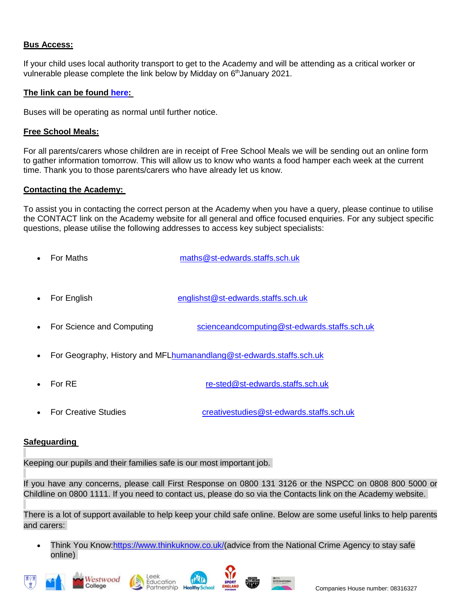## **Bus Access:**

If your child uses local authority transport to get to the Academy and will be attending as a critical worker or vulnerable please complete the link below by Midday on 6<sup>th</sup>January 2021.

## **The link can be found [here:](https://forms.office.com/Pages/ResponsePage.aspx?id=1fhjb3KZgUuT_NXvEhdWcEUHVnCbQwpIuw5ekPlmKq9UQkdSODkxOVlOSU1ZU1pEOElZVFAyMU9KTy4u)**

Buses will be operating as normal until further notice.

## **Free School Meals:**

For all parents/carers whose children are in receipt of Free School Meals we will be sending out an online form to gather information tomorrow. This will allow us to know who wants a food hamper each week at the current time. Thank you to those parents/carers who have already let us know.

#### **Contacting the Academy:**

To assist you in contacting the correct person at the Academy when you have a query, please continue to utilise the CONTACT link on the Academy website for all general and office focused enquiries. For any subject specific questions, please utilise the following addresses to access key subject specialists:

- For Maths [maths@st-edwards.staffs.sch.uk](mailto:maths@st-edwards.staffs.sch.uk)
- For English [englishst@st-edwards.staffs.sch.uk](mailto:englishst@st-edwards.staffs.sch.uk)
- For Science and Computing [scienceandcomputing@st-edwards.staffs.sch.uk](mailto:scienceandcomputing@st-edwards.staffs.sch.uk)
- For Geography, History and MF[Lhumanandlang@st-edwards.staffs.sch.uk](mailto:humanandlang@st-edwards.staffs.sch.uk)
- For RE [re-sted@st-edwards.staffs.sch.uk](mailto:re-sted@st-edwards.staffs.sch.uk)
- For Creative Studies [creativestudies@st-edwards.staffs.sch.uk](mailto:creativestudies@st-edwards.staffs.sch.uk)

## **Safeguarding**

Keeping our pupils and their families safe is our most important job.

If you have any concerns, please call First Response on 0800 131 3126 or the NSPCC on 0808 800 5000 or Childline on 0800 1111. If you need to contact us, please do so via the Contacts link on the Academy website.

There is a lot of support available to help keep your child safe online. Below are some useful links to help parents and carers:

Think You Know[:https://www.thinkuknow.co.uk/\(](https://www.thinkuknow.co.uk/)advice from the National Crime Agency to stay safe online)









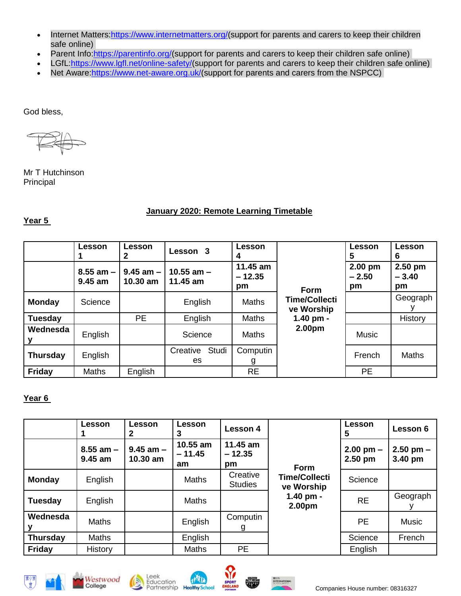- Internet Matters: https://www.internetmatters.org/(support for parents and carers to keep their children safe online)
- Parent Info[:https://parentinfo.org/\(](https://parentinfo.org/)support for parents and carers to keep their children safe online)
- LGfL[:https://www.lgfl.net/online-safety/\(](https://www.lgfl.net/online-safety/)support for parents and carers to keep their children safe online)
- Net Aware[:https://www.net-aware.org.uk/\(](https://www.net-aware.org.uk/)support for parents and carers from the NSPCC)

God bless,

Mr T Hutchinson Principal

# **January 2020: Remote Learning Timetable**

# **Year 5**

|                 | <b>Lesson</b>            | <b>Lesson</b> | Lesson <sub>3</sub>                    | Lesson                     |                                    | Lesson<br>5              | Lesson<br>6                |
|-----------------|--------------------------|---------------|----------------------------------------|----------------------------|------------------------------------|--------------------------|----------------------------|
|                 | $8.55$ am $-$<br>9.45 am | 10.30 am      | $9.45$ am $-110.55$ am $-$<br>11.45 am | 11.45 am<br>$-12.35$<br>pm | <b>Form</b>                        | 2.00 pm<br>$-2.50$<br>pm | $2.50$ pm<br>$-3.40$<br>pm |
| <b>Monday</b>   | Science                  |               | English                                | <b>Maths</b>               | <b>Time/Collecti</b><br>ve Worship |                          | Geograph                   |
| <b>Tuesday</b>  |                          | <b>PE</b>     | English                                | <b>Maths</b>               | 1.40 pm -                          |                          | History                    |
| Wednesda        | English                  |               | Science                                | <b>Maths</b>               | 2.00 <sub>pm</sub>                 | <b>Music</b>             |                            |
| <b>Thursday</b> | English                  |               | Studi<br>Creative<br>es                | Computin<br>g              |                                    | French                   | <b>Maths</b>               |
| <b>Friday</b>   | <b>Maths</b>             | English       |                                        | <b>RE</b>                  |                                    | <b>PE</b>                |                            |

# **Year 6**

|                 | Lesson                     | Lesson<br>2                 | <b>Lesson</b><br>3         | <b>Lesson 4</b>            |                                    | Lesson<br>5                | Lesson 6                 |
|-----------------|----------------------------|-----------------------------|----------------------------|----------------------------|------------------------------------|----------------------------|--------------------------|
|                 | $8.55$ am $-$<br>$9.45$ am | $9.45$ am $-$<br>$10.30$ am | 10.55 am<br>$-11.45$<br>am | 11.45 am<br>$-12.35$<br>pm | <b>Form</b>                        | $2.00$ pm $-$<br>$2.50$ pm | $2.50$ pm $-$<br>3.40 pm |
| <b>Monday</b>   | English                    |                             | <b>Maths</b>               | Creative<br><b>Studies</b> | <b>Time/Collecti</b><br>ve Worship | Science                    |                          |
| <b>Tuesday</b>  | English                    |                             | <b>Maths</b>               |                            | $1.40$ pm -<br>2.00pm              | <b>RE</b>                  | Geograph                 |
| Wednesda        | <b>Maths</b>               |                             | English                    | Computin<br>g              |                                    | <b>PE</b>                  | <b>Music</b>             |
| <b>Thursday</b> | <b>Maths</b>               |                             | English                    |                            |                                    | Science                    | French                   |
| <b>Friday</b>   | History                    |                             | <b>Maths</b>               | <b>PE</b>                  |                                    | English                    |                          |